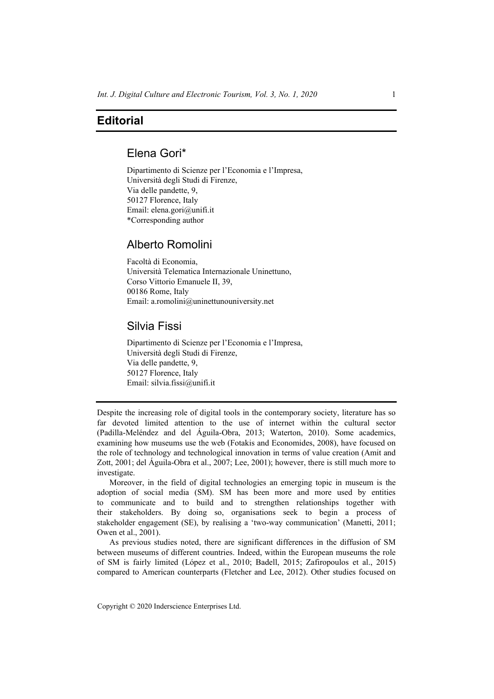# **Editorial**

# Elena Gori\*

Dipartimento di Scienze per l'Economia e l'Impresa, Università degli Studi di Firenze, Via delle pandette, 9, 50127 Florence, Italy Email: elena.gori@unifi.it \*Corresponding author

### Alberto Romolini

Facoltà di Economia, Università Telematica Internazionale Uninettuno, Corso Vittorio Emanuele II, 39, 00186 Rome, Italy Email: a.romolini@uninettunouniversity.net

### Silvia Fissi

Dipartimento di Scienze per l'Economia e l'Impresa, Università degli Studi di Firenze, Via delle pandette, 9, 50127 Florence, Italy Email: silvia.fissi@unifi.it

Despite the increasing role of digital tools in the contemporary society, literature has so far devoted limited attention to the use of internet within the cultural sector (Padilla-Meléndez and del Águila-Obra, 2013; Waterton, 2010). Some academics, examining how museums use the web (Fotakis and Economides, 2008), have focused on the role of technology and technological innovation in terms of value creation (Amit and Zott, 2001; del Águila-Obra et al., 2007; Lee, 2001); however, there is still much more to investigate.

Moreover, in the field of digital technologies an emerging topic in museum is the adoption of social media (SM). SM has been more and more used by entities to communicate and to build and to strengthen relationships together with their stakeholders. By doing so, organisations seek to begin a process of stakeholder engagement (SE), by realising a 'two-way communication' (Manetti, 2011; Owen et al., 2001).

As previous studies noted, there are significant differences in the diffusion of SM between museums of different countries. Indeed, within the European museums the role of SM is fairly limited (López et al., 2010; Badell, 2015; Zafiropoulos et al., 2015) compared to American counterparts (Fletcher and Lee, 2012). Other studies focused on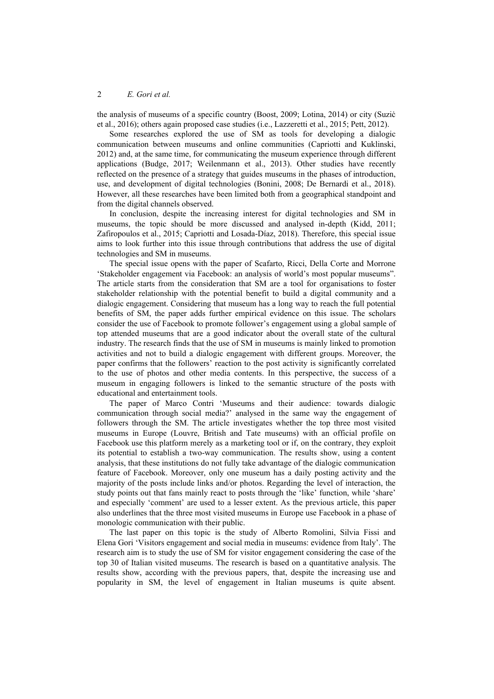the analysis of museums of a specific country (Boost, 2009; Lotina, 2014) or city (Suziċ et al., 2016); others again proposed case studies (i.e., Lazzeretti et al., 2015; Pett, 2012).

Some researches explored the use of SM as tools for developing a dialogic communication between museums and online communities (Capriotti and Kuklinski, 2012) and, at the same time, for communicating the museum experience through different applications (Budge, 2017; Weilenmann et al., 2013). Other studies have recently reflected on the presence of a strategy that guides museums in the phases of introduction, use, and development of digital technologies (Bonini, 2008; De Bernardi et al., 2018). However, all these researches have been limited both from a geographical standpoint and from the digital channels observed.

In conclusion, despite the increasing interest for digital technologies and SM in museums, the topic should be more discussed and analysed in-depth (Kidd, 2011; Zafiropoulos et al., 2015; Capriotti and Losada-Díaz, 2018). Therefore, this special issue aims to look further into this issue through contributions that address the use of digital technologies and SM in museums.

The special issue opens with the paper of Scafarto, Ricci, Della Corte and Morrone 'Stakeholder engagement via Facebook: an analysis of world's most popular museums". The article starts from the consideration that SM are a tool for organisations to foster stakeholder relationship with the potential benefit to build a digital community and a dialogic engagement. Considering that museum has a long way to reach the full potential benefits of SM, the paper adds further empirical evidence on this issue. The scholars consider the use of Facebook to promote follower's engagement using a global sample of top attended museums that are a good indicator about the overall state of the cultural industry. The research finds that the use of SM in museums is mainly linked to promotion activities and not to build a dialogic engagement with different groups. Moreover, the paper confirms that the followers' reaction to the post activity is significantly correlated to the use of photos and other media contents. In this perspective, the success of a museum in engaging followers is linked to the semantic structure of the posts with educational and entertainment tools.

The paper of Marco Contri 'Museums and their audience: towards dialogic communication through social media?' analysed in the same way the engagement of followers through the SM. The article investigates whether the top three most visited museums in Europe (Louvre, British and Tate museums) with an official profile on Facebook use this platform merely as a marketing tool or if, on the contrary, they exploit its potential to establish a two-way communication. The results show, using a content analysis, that these institutions do not fully take advantage of the dialogic communication feature of Facebook. Moreover, only one museum has a daily posting activity and the majority of the posts include links and/or photos. Regarding the level of interaction, the study points out that fans mainly react to posts through the 'like' function, while 'share' and especially 'comment' are used to a lesser extent. As the previous article, this paper also underlines that the three most visited museums in Europe use Facebook in a phase of monologic communication with their public.

The last paper on this topic is the study of Alberto Romolini, Silvia Fissi and Elena Gori 'Visitors engagement and social media in museums: evidence from Italy'. The research aim is to study the use of SM for visitor engagement considering the case of the top 30 of Italian visited museums. The research is based on a quantitative analysis. The results show, according with the previous papers, that, despite the increasing use and popularity in SM, the level of engagement in Italian museums is quite absent.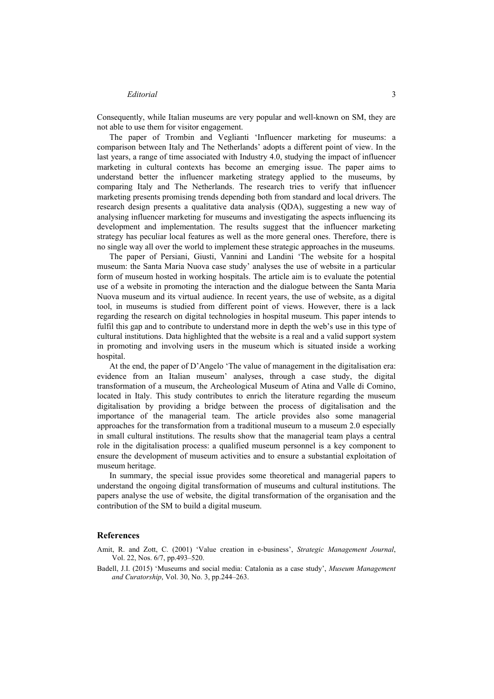Consequently, while Italian museums are very popular and well-known on SM, they are not able to use them for visitor engagement.

The paper of Trombin and Veglianti 'Influencer marketing for museums: a comparison between Italy and The Netherlands' adopts a different point of view. In the last years, a range of time associated with Industry 4.0, studying the impact of influencer marketing in cultural contexts has become an emerging issue. The paper aims to understand better the influencer marketing strategy applied to the museums, by comparing Italy and The Netherlands. The research tries to verify that influencer marketing presents promising trends depending both from standard and local drivers. The research design presents a qualitative data analysis (QDA), suggesting a new way of analysing influencer marketing for museums and investigating the aspects influencing its development and implementation. The results suggest that the influencer marketing strategy has peculiar local features as well as the more general ones. Therefore, there is no single way all over the world to implement these strategic approaches in the museums.

The paper of Persiani, Giusti, Vannini and Landini 'The website for a hospital museum: the Santa Maria Nuova case study' analyses the use of website in a particular form of museum hosted in working hospitals. The article aim is to evaluate the potential use of a website in promoting the interaction and the dialogue between the Santa Maria Nuova museum and its virtual audience. In recent years, the use of website, as a digital tool, in museums is studied from different point of views. However, there is a lack regarding the research on digital technologies in hospital museum. This paper intends to fulfil this gap and to contribute to understand more in depth the web's use in this type of cultural institutions. Data highlighted that the website is a real and a valid support system in promoting and involving users in the museum which is situated inside a working hospital.

At the end, the paper of D'Angelo 'The value of management in the digitalisation era: evidence from an Italian museum' analyses, through a case study, the digital transformation of a museum, the Archeological Museum of Atina and Valle di Comino, located in Italy. This study contributes to enrich the literature regarding the museum digitalisation by providing a bridge between the process of digitalisation and the importance of the managerial team. The article provides also some managerial approaches for the transformation from a traditional museum to a museum 2.0 especially in small cultural institutions. The results show that the managerial team plays a central role in the digitalisation process: a qualified museum personnel is a key component to ensure the development of museum activities and to ensure a substantial exploitation of museum heritage.

In summary, the special issue provides some theoretical and managerial papers to understand the ongoing digital transformation of museums and cultural institutions. The papers analyse the use of website, the digital transformation of the organisation and the contribution of the SM to build a digital museum.

#### **References**

- Amit, R. and Zott, C. (2001) 'Value creation in e-business', *Strategic Management Journal*, Vol. 22, Nos. 6/7, pp.493–520.
- Badell, J.I. (2015) 'Museums and social media: Catalonia as a case study', *Museum Management and Curatorship*, Vol. 30, No. 3, pp.244–263.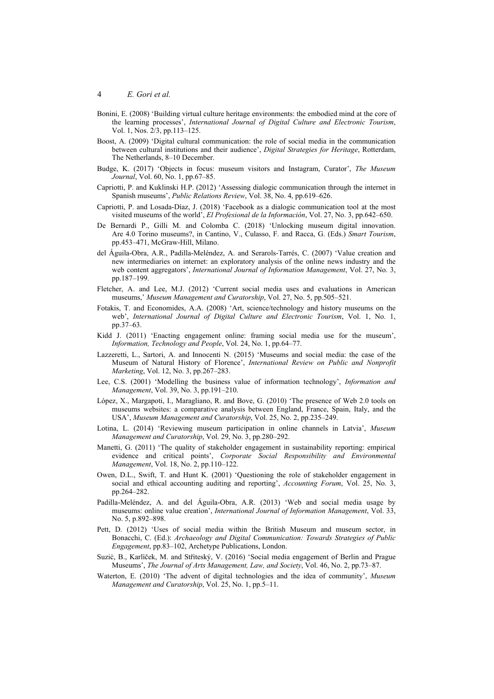- Bonini, E. (2008) 'Building virtual culture heritage environments: the embodied mind at the core of the learning processes', *International Journal of Digital Culture and Electronic Tourism*, Vol. 1, Nos. 2/3, pp.113–125.
- Boost, A. (2009) 'Digital cultural communication: the role of social media in the communication between cultural institutions and their audience', *Digital Strategies for Heritage*, Rotterdam, The Netherlands, 8–10 December.
- Budge, K. (2017) 'Objects in focus: museum visitors and Instagram, Curator', *The Museum Journal*, Vol. 60, No. 1, pp.67–85.
- Capriotti, P. and Kuklinski H.P. (2012) 'Assessing dialogic communication through the internet in Spanish museums', *Public Relations Review*, Vol. 38, No. 4, pp.619–626.
- Capriotti, P. and Losada-Díaz, J. (2018) 'Facebook as a dialogic communication tool at the most visited museums of the world', *El Profesional de la Información*, Vol. 27, No. 3, pp.642–650.
- De Bernardi P., Gilli M. and Colomba C. (2018) 'Unlocking museum digital innovation. Are 4.0 Torino museums?, in Cantino, V., Culasso, F. and Racca, G. (Eds.) *Smart Tourism*, pp.453–471, McGraw-Hill, Milano.
- del Águila-Obra, A.R., Padilla-Meléndez, A. and Serarols-Tarrés, C. (2007) 'Value creation and new intermediaries on internet: an exploratory analysis of the online news industry and the web content aggregators', *International Journal of Information Management*, Vol. 27, No. 3, pp.187–199.
- Fletcher, A. and Lee, M.J. (2012) 'Current social media uses and evaluations in American museums,' *Museum Management and Curatorship*, Vol. 27, No. 5, pp.505–521.
- Fotakis, T. and Economides, A.A. (2008) 'Art, science/technology and history museums on the web', *International Journal of Digital Culture and Electronic Tourism*, Vol. 1, No. 1, pp.37–63.
- Kidd J. (2011) 'Enacting engagement online: framing social media use for the museum', *Information, Technology and People*, Vol. 24, No. 1, pp.64–77.
- Lazzeretti, L., Sartori, A. and Innocenti N. (2015) 'Museums and social media: the case of the Museum of Natural History of Florence', *International Review on Public and Nonprofit Marketing*, Vol. 12, No. 3, pp.267–283.
- Lee, C.S. (2001) 'Modelling the business value of information technology', *Information and Management*, Vol. 39, No. 3, pp.191–210.
- López, X., Margapoti, I., Maragliano, R. and Bove, G. (2010) 'The presence of Web 2.0 tools on museums websites: a comparative analysis between England, France, Spain, Italy, and the USA', *Museum Management and Curatorship*, Vol. 25, No. 2, pp.235–249.
- Lotina, L. (2014) 'Reviewing museum participation in online channels in Latvia', *Museum Management and Curatorship*, Vol. 29, No. 3, pp.280–292.
- Manetti, G. (2011) 'The quality of stakeholder engagement in sustainability reporting: empirical evidence and critical points', *Corporate Social Responsibility and Environmental Management*, Vol. 18, No. 2, pp.110–122.
- Owen, D.L., Swift, T. and Hunt K. (2001) 'Questioning the role of stakeholder engagement in social and ethical accounting auditing and reporting', *Accounting Forum*, Vol. 25, No. 3, pp.264–282.
- Padilla-Meléndez, A. and del Águila-Obra, A.R. (2013) 'Web and social media usage by museums: online value creation', *International Journal of Information Management*, Vol. 33, No. 5, p.892–898.
- Pett, D. (2012) 'Uses of social media within the British Museum and museum sector, in Bonacchi, C. (Ed.): *Archaeology and Digital Communication: Towards Strategies of Public Engagement*, pp.83–102, Archetype Publications, London.
- Suziċ, B., Karlìček, M. and Střìteský, V. (2016) 'Social media engagement of Berlin and Prague Museums', *The Journal of Arts Management, Law, and Society*, Vol. 46, No. 2, pp.73–87.
- Waterton, E. (2010) 'The advent of digital technologies and the idea of community', *Museum Management and Curatorship*, Vol. 25, No. 1, pp.5–11.